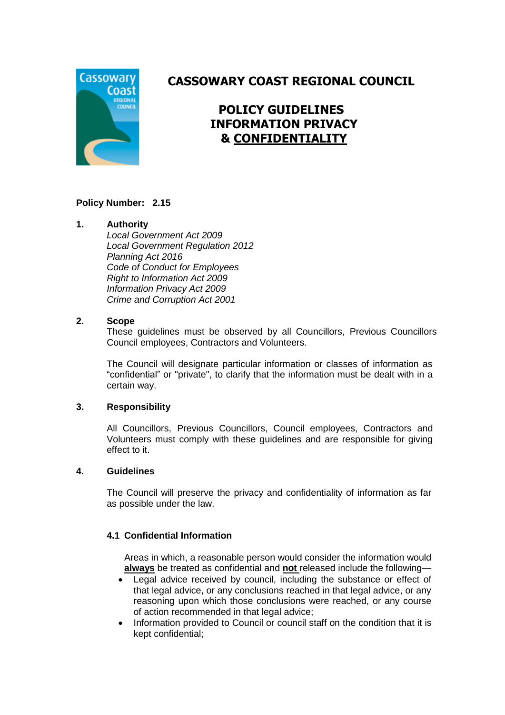

# **CASSOWARY COAST REGIONAL COUNCIL**

# **POLICY GUIDELINES INFORMATION PRIVACY & CONFIDENTIALITY**

# **Policy Number: 2.15**

# **1. Authority**

*Local Government Act 2009 Local Government Regulation 2012 Planning Act 2016 Code of Conduct for Employees Right to Information Act 2009 Information Privacy Act 2009 Crime and Corruption Act 2001*

#### **2. Scope**

These guidelines must be observed by all Councillors, Previous Councillors Council employees, Contractors and Volunteers.

The Council will designate particular information or classes of information as "confidential" or "private", to clarify that the information must be dealt with in a certain way.

#### **3. Responsibility**

All Councillors, Previous Councillors, Council employees, Contractors and Volunteers must comply with these guidelines and are responsible for giving effect to it.

#### **4. Guidelines**

The Council will preserve the privacy and confidentiality of information as far as possible under the law.

# **4.1 Confidential Information**

Areas in which, a reasonable person would consider the information would **always** be treated as confidential and **not** released include the following—

- Legal advice received by council, including the substance or effect of that legal advice, or any conclusions reached in that legal advice, or any reasoning upon which those conclusions were reached, or any course of action recommended in that legal advice;
- Information provided to Council or council staff on the condition that it is kept confidential;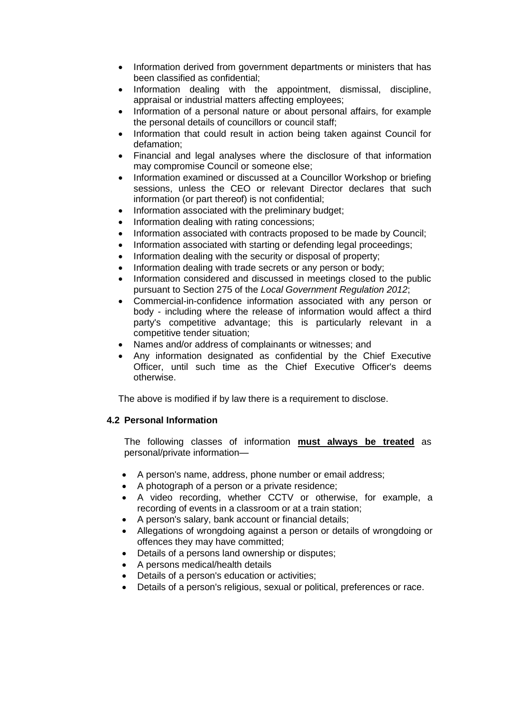- Information derived from government departments or ministers that has been classified as confidential;
- Information dealing with the appointment, dismissal, discipline, appraisal or industrial matters affecting employees;
- Information of a personal nature or about personal affairs, for example the personal details of councillors or council staff;
- Information that could result in action being taken against Council for defamation;
- Financial and legal analyses where the disclosure of that information may compromise Council or someone else;
- Information examined or discussed at a Councillor Workshop or briefing sessions, unless the CEO or relevant Director declares that such information (or part thereof) is not confidential;
- Information associated with the preliminary budget;
- Information dealing with rating concessions;
- Information associated with contracts proposed to be made by Council;
- Information associated with starting or defending legal proceedings;
- Information dealing with the security or disposal of property;
- Information dealing with trade secrets or any person or body;
- Information considered and discussed in meetings closed to the public pursuant to Section 275 of the *Local Government Regulation 2012*;
- Commercial-in-confidence information associated with any person or body - including where the release of information would affect a third party's competitive advantage; this is particularly relevant in a competitive tender situation;
- Names and/or address of complainants or witnesses; and
- Any information designated as confidential by the Chief Executive Officer, until such time as the Chief Executive Officer's deems otherwise.

The above is modified if by law there is a requirement to disclose.

# **4.2 Personal Information**

The following classes of information **must always be treated** as personal/private information—

- A person's name, address, phone number or email address;
- A photograph of a person or a private residence;
- A video recording, whether CCTV or otherwise, for example, a recording of events in a classroom or at a train station;
- A person's salary, bank account or financial details;
- Allegations of wrongdoing against a person or details of wrongdoing or offences they may have committed;
- Details of a persons land ownership or disputes;
- A persons medical/health details
- Details of a person's education or activities;
- Details of a person's religious, sexual or political, preferences or race.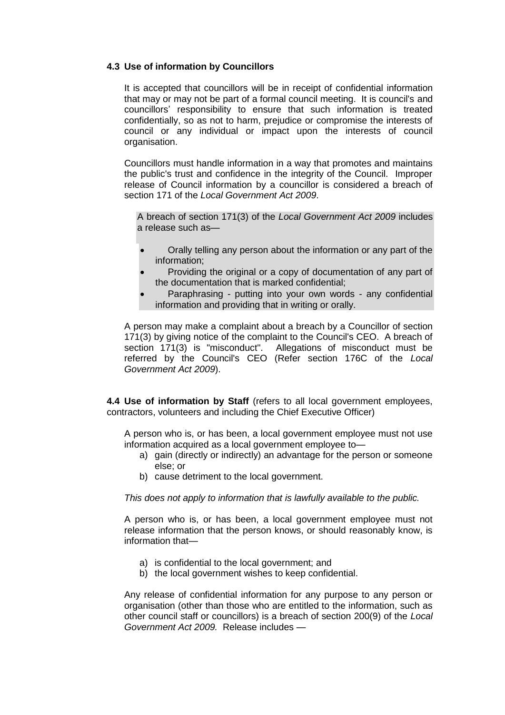#### **4.3 Use of information by Councillors**

It is accepted that councillors will be in receipt of confidential information that may or may not be part of a formal council meeting. It is council's and councillors' responsibility to ensure that such information is treated confidentially, so as not to harm, prejudice or compromise the interests of council or any individual or impact upon the interests of council organisation.

Councillors must handle information in a way that promotes and maintains the public's trust and confidence in the integrity of the Council. Improper release of Council information by a councillor is considered a breach of section 171 of the *Local Government Act 2009*.

A breach of section 171(3) of the *Local Government Act 2009* includes a release such as—

- Orally telling any person about the information or any part of the information;
- Providing the original or a copy of documentation of any part of the documentation that is marked confidential;
- Paraphrasing putting into your own words any confidential information and providing that in writing or orally.

A person may make a complaint about a breach by a Councillor of section 171(3) by giving notice of the complaint to the Council's CEO. A breach of section 171(3) is "misconduct". Allegations of misconduct must be referred by the Council's CEO (Refer section 176C of the *Local Government Act 2009*).

**4.4 Use of information by Staff** (refers to all local government employees, contractors, volunteers and including the Chief Executive Officer)

A person who is, or has been, a local government employee must not use information acquired as a local government employee to—

- a) gain (directly or indirectly) an advantage for the person or someone else; or
- b) cause detriment to the local government.

*This does not apply to information that is lawfully available to the public.*

A person who is, or has been, a local government employee must not release information that the person knows, or should reasonably know, is information that—

- a) is confidential to the local government; and
- b) the local government wishes to keep confidential.

Any release of confidential information for any purpose to any person or organisation (other than those who are entitled to the information, such as other council staff or councillors) is a breach of section 200(9) of the *Local Government Act 2009.* Release includes —